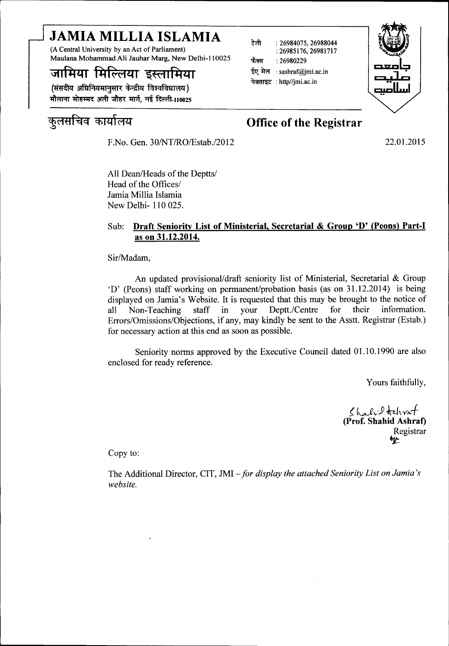# JAMIA MILLIA ISLAMIA

(A Central University by an Act of Parliament) Maulana Mohammad Ali Jauhar Marg, New Delhi-II 0025

## जामिया मिल्लिया इस्लामिया

(संसदीय अधिनियमानसार केन्द्रीय विश्वविधालय) मौलाना मोहम्मद अली जौहर मार्ग. नई दिल्ली-110025

F.No. Gen. 30/NT/RO/Estab./2012 22.01.2015

~(1~~q Cfll~t(1~ Office of the Registrar

~ :26984075,26988044 :26985176,26981717

ईए मेल : sashraf@jmi.ac.in<br>वेबसाइट : http//jmi.ac.in

फैक्स:  $26980229$ 

All Dean/Heads of the Deptts/ Head of the Offices/ Jamia Millia Islamia New Delhi- 110 025.

#### Sub: Draft Seniority List of Ministerial, Secretarial & Group 'D' (Peons) Part-1 as on 31.12.2014.

Sir/Madam,

An updated provisional/draft seniority list of Ministerial, Secretarial & Group 'D' (Peons) staff working on permanent/probation basis (as on 31.12.2014) is being displayed on lamia's Website. It is requested that this may be brought to the notice of all Non-Teaching staff in your Deptt./Centre for their information. Errors/Omissions/Objections, if any, may kindly be sent to the Asstt. Registrar (Estab.) for necessary action at this end as soon as possible.

Seniority norms approved by the Executive Council dated 01.10.1990 are also enclosed for ready reference.

Yours faithfully,

*{ k.vJv'}* hh~.f (Prof. Shahid Ashraf) Registrar ~

Copy to:

The Additional Director, CIT, JMI-*for display the attached Seniority List on Jamia 's website.* 

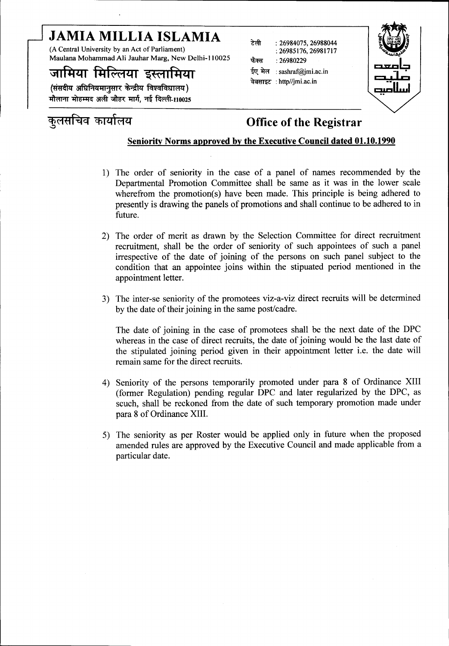# JAMIA MILLIA ISLAMIA

(A Central University by an Act of Parliament) Maulana Mohammad Ali Jauhar Marg, New Delhi-II 0025

## जामिया मिल्लिया इस्लामिया

(संसदीय अधिनियमानुसार केन्द्रीय विश्वविधालय) मौलाना मोहम्मद अली जौहर मार्ग, नई दिल्ली-110025

## कुलसचिव कार्यालय

#### ~ :26984075,26988044 :26985176,26981717 फैक्स : 26980229 ईए मेल : sashraf@jmi.ac.in वेबसाइट: http//jmi.ac.in



### Office of the Registrar

#### Seniority Norms approved by the Executive Council dated 01.10.1990

- 1) The order of seniority in the case of a panel of names recommended by the Departmental Promotion Committee shall be same as it was in the lower scale wherefrom the promotion(s) have been made. This principle is being adhered to presently is drawing the panels of promotions and shall continue to be adhered to in future.
- 2) The order of merit as drawn by the Selection Committee for direct recruitment recruitment, shall be the order of seniority of such appointees of such a panel irrespective of the date of joining of the persons on such panel subject to the condition that an appointee joins within the stipuated period mentioned in the appointment letter.
- 3) The inter-se seniority of the promotees viz-a-viz direct recruits will be determined by the date of their joining in the same post/cadre.

The date of joining in the case of promotees shall be the next date of the DPC whereas in the case of direct recruits, the date of joining would be the last date of the stipulated joining period given in their appointment letter i.e. the date will remain same for the direct recruits.

- 4) Seniority of the persons temporarily promoted under para 8 of Ordinance XIII (former Regulation) pending regular DPC and later regularized by the DPC, as scuch, shall be reckoned from the date of such temporary promotion made under para 8 of Ordinance XIII.
- 5) The seniority as per Roster would be applied only in future when the proposed amended rules are approved by the Executive Council and made applicable from a particular date.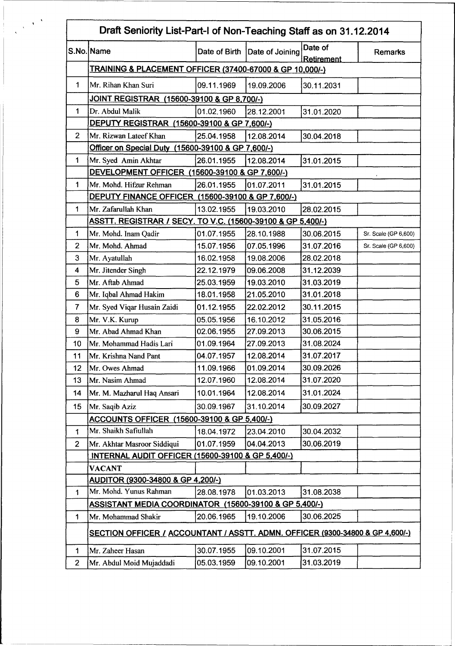|                 | Draft Seniority List-Part-I of Non-Teaching Staff as on 31.12.2014            |            |                               |                       |                      |  |  |  |  |  |
|-----------------|-------------------------------------------------------------------------------|------------|-------------------------------|-----------------------|----------------------|--|--|--|--|--|
|                 | S.No. Name                                                                    |            | Date of Birth Date of Joining | Date of<br>Retirement | <b>Remarks</b>       |  |  |  |  |  |
|                 | <b>TRAINING &amp; PLACEMENT OFFICER (37400-67000 &amp; GP 10,000/-)</b>       |            |                               |                       |                      |  |  |  |  |  |
| 1               | Mr. Rihan Khan Suri                                                           | 09.11.1969 | 19.09.2006                    | 30.11.2031            |                      |  |  |  |  |  |
|                 | JOINT REGISTRAR (15600-39100 & GP 8,700/-)                                    |            |                               |                       |                      |  |  |  |  |  |
| $\mathbf{1}$    | Dr. Abdul Malik                                                               | 01.02.1960 | 28.12.2001                    | 31.01.2020            |                      |  |  |  |  |  |
|                 | DEPUTY REGISTRAR (15600-39100 & GP 7,600/-)                                   |            |                               |                       |                      |  |  |  |  |  |
| $\overline{2}$  | Mr. Rizwan Lateef Khan                                                        | 25.04.1958 | 12.08.2014                    | 30.04.2018            |                      |  |  |  |  |  |
|                 | Officer on Special Duty (15600-39100 & GP 7,600/-)                            |            |                               |                       |                      |  |  |  |  |  |
| 1               | Mr. Syed Amin Akhtar                                                          | 26.01.1955 | 12.08.2014                    | 31.01.2015            |                      |  |  |  |  |  |
|                 | DEVELOPMENT OFFICER (15600-39100 & GP 7,600/-)                                |            |                               |                       |                      |  |  |  |  |  |
| 1               | Mr. Mohd. Hifzur Rehman                                                       | 26.01.1955 | 01.07.2011                    | 31.01.2015            |                      |  |  |  |  |  |
|                 | DEPUTY FINANCE OFFICER (15600-39100 & GP 7,600/-)                             |            |                               |                       |                      |  |  |  |  |  |
| 1               | Mr. Zafarullah Khan                                                           | 13.02.1955 | 19.03.2010                    | 28.02.2015            |                      |  |  |  |  |  |
|                 | ASSTT. REGISTRAR / SECY. TO V.C. (15600-39100 & GP 5,400/-)                   |            |                               |                       |                      |  |  |  |  |  |
| 1               | Mr. Mohd. Inam Qadir                                                          | 01.07.1955 | 28.10.1988                    | 30.06.2015            | Sr. Scale (GP 6,600) |  |  |  |  |  |
| $\overline{2}$  | Mr. Mohd. Ahmad                                                               | 15.07.1956 | 07.05.1996                    | 31.07.2016            | Sr. Scale (GP 6,600) |  |  |  |  |  |
| 3               | Mr. Ayatullah                                                                 | 16.02.1958 | 19.08.2006                    | 28.02.2018            |                      |  |  |  |  |  |
| 4               | Mr. Jitender Singh                                                            | 22.12.1979 | 09.06.2008                    | 31.12.2039            |                      |  |  |  |  |  |
| 5               | Mr. Aftab Ahmad                                                               | 25.03.1959 | 19.03.2010                    | 31.03.2019            |                      |  |  |  |  |  |
| 6               | Mr. Iqbal Ahmad Hakim                                                         | 18.01.1958 | 21.05.2010                    | 31.01.2018            |                      |  |  |  |  |  |
| $\overline{7}$  | Mr. Syed Viqar Husain Zaidi                                                   | 01.12.1955 | 22.02.2012                    | 30.11.2015            |                      |  |  |  |  |  |
| 8               | Mr. V.K. Kurup                                                                | 05.05.1956 | 16.10.2012                    | 31.05.2016            |                      |  |  |  |  |  |
| 9               | Mr. Abad Ahmad Khan                                                           | 02.06.1955 | 27.09.2013                    | 30.06.2015            |                      |  |  |  |  |  |
| 10              | Mr. Mohammad Hadis Lari                                                       | 01.09.1964 | 27.09.2013                    | 31.08.2024            |                      |  |  |  |  |  |
| 11              | Mr. Krishna Nand Pant                                                         | 04.07.1957 | 12.08.2014                    | 31.07.2017            |                      |  |  |  |  |  |
| 12              | Mr. Owes Ahmad                                                                | 11.09.1966 | 01.09.2014                    | 30.09.2026            |                      |  |  |  |  |  |
| 13              | Mr. Nasim Ahmad                                                               | 12.07.1960 | 12.08.2014                    | 31.07.2020            |                      |  |  |  |  |  |
| 14              | Mr. M. Mazharul Haq Ansari                                                    | 10.01.1964 | 12.08.2014                    | 31.01.2024            |                      |  |  |  |  |  |
| 15 <sub>1</sub> | Mr. Saqib Aziz                                                                | 30.09.1967 | 31.10.2014                    | 30.09.2027            |                      |  |  |  |  |  |
|                 | ACCOUNTS OFFICER (15600-39100 & GP 5,400/-)                                   |            |                               |                       |                      |  |  |  |  |  |
| 1               | Mr. Shaikh Safiullah                                                          | 18.04.1972 | 23.04.2010                    | 30.04.2032            |                      |  |  |  |  |  |
| $\overline{2}$  | Mr. Akhtar Masroor Siddiqui                                                   | 01.07.1959 | 04.04.2013                    | 30.06.2019            |                      |  |  |  |  |  |
|                 | INTERNAL AUDIT OFFICER (15600-39100 & GP 5,400/-)                             |            |                               |                       |                      |  |  |  |  |  |
|                 | <b>VACANT</b>                                                                 |            |                               |                       |                      |  |  |  |  |  |
|                 | AUDITOR (9300-34800 & GP 4,200/-)                                             |            |                               |                       |                      |  |  |  |  |  |
| $\mathbf{1}$    | Mr. Mohd. Yunus Rahman                                                        | 28.08.1978 | 01.03.2013                    | 31.08.2038            |                      |  |  |  |  |  |
|                 | ASSISTANT MEDIA COORDINATOR (15600-39100 & GP 5,400/-)                        |            |                               |                       |                      |  |  |  |  |  |
| 1               | Mr. Mohammad Shakir                                                           | 20.06.1965 | 19.10.2006                    | 30.06.2025            |                      |  |  |  |  |  |
|                 | SECTION OFFICER / ACCOUNTANT / ASSTT. ADMN. OFFICER (9300-34800 & GP 4,600/-) |            |                               |                       |                      |  |  |  |  |  |
|                 |                                                                               |            |                               | 31.07.2015            |                      |  |  |  |  |  |
| 1               | Mr. Zaheer Hasan                                                              | 30.07.1955 | 09.10.2001                    |                       |                      |  |  |  |  |  |
| $\overline{2}$  | Mr. Abdul Moid Mujaddadi                                                      | 05.03.1959 | 09.10.2001                    | 31.03.2019            |                      |  |  |  |  |  |

 $\sqrt{3}$ 

 $\ddot{\phantom{a}}$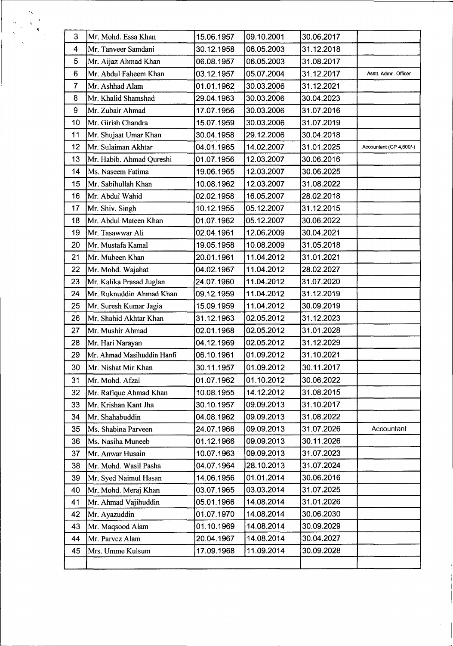| 3              | Mr. Mohd. Essa Khan        | 15.06.1957 | 09.10.2001 | 30.06.2017 |                         |  |
|----------------|----------------------------|------------|------------|------------|-------------------------|--|
| 4              | Mr. Tanveer Samdani        | 30.12.1958 | 06.05.2003 | 31.12.2018 |                         |  |
| 5              | Mr. Aijaz Ahmad Khan       | 06.08.1957 | 06.05.2003 | 31.08.2017 |                         |  |
| $6\phantom{1}$ | Mr. Abdul Faheem Khan      | 03.12.1957 | 05.07.2004 | 31.12.2017 | Asstt. Admn. Officer    |  |
| $\overline{7}$ | Mr. Ashhad Alam            | 01.01.1962 | 30.03.2006 | 31.12.2021 |                         |  |
| 8              | Mr. Khalid Shamshad        | 29.04.1963 | 30.03.2006 | 30.04.2023 |                         |  |
| 9              | Mr. Zubair Ahmad           | 17.07.1956 | 30.03.2006 | 31.07.2016 |                         |  |
| 10             | Mr. Girish Chandra         | 15.07.1959 | 30.03.2006 | 31.07.2019 |                         |  |
| 11             | Mr. Shujaat Umar Khan      | 30.04.1958 | 29.12.2006 | 30.04.2018 |                         |  |
| 12             | Mr. Sulaiman Akhtar        | 04.01.1965 | 14.02.2007 | 31.01.2025 | Accountant (GP 4,600/-) |  |
| 13             | Mr. Habib. Ahmad Qureshi   | 01.07.1956 | 12.03.2007 | 30.06.2016 |                         |  |
| 14             | Ms. Naseem Fatima          | 19.06.1965 | 12.03.2007 | 30.06.2025 |                         |  |
| 15             | Mr. Sabihullah Khan        | 10.08.1962 | 12.03.2007 | 31.08.2022 |                         |  |
| 16             | Mr. Abdul Wahid            | 02.02.1958 | 16.05.2007 | 28.02.2018 |                         |  |
| 17             | Mr. Shiv. Singh            | 10.12.1955 | 05.12.2007 | 31.12.2015 |                         |  |
| 18             | Mr. Abdul Mateen Khan      | 01.07.1962 | 05.12.2007 | 30.06.2022 |                         |  |
| 19             | Mr. Tasawwar Ali           | 02.04.1961 | 12.06.2009 | 30.04.2021 |                         |  |
| 20             | Mr. Mustafa Kamal          | 19.05.1958 | 10.08.2009 | 31.05.2018 |                         |  |
| 21             | Mr. Mubeen Khan            | 20.01.1961 | 11.04.2012 | 31.01.2021 |                         |  |
| 22             | Mr. Mohd. Wajahat          | 04.02.1967 | 11.04.2012 | 28.02.2027 |                         |  |
| 23             | Mr. Kalika Prasad Juglan   | 24.07.1960 | 11.04.2012 | 31.07.2020 |                         |  |
| 24             | Mr. Ruknuddin Ahmad Khan   | 09.12.1959 | 11.04.2012 | 31.12.2019 |                         |  |
| 25             | Mr. Suresh Kumar Jagia     | 15.09.1959 | 11.04.2012 | 30.09.2019 |                         |  |
| 26             | Mr. Shahid Akhtar Khan     | 31.12.1963 | 02.05.2012 | 31.12.2023 |                         |  |
| 27             | Mr. Mushir Ahmad           | 02.01.1968 | 02.05.2012 | 31.01.2028 |                         |  |
| 28             | Mr. Hari Narayan           | 04.12.1969 | 02.05.2012 | 31.12.2029 |                         |  |
| 29             | Mr. Ahmad Masihuddin Hanfi | 06.10.1961 | 01.09.2012 | 31.10.2021 |                         |  |
| 30             | Mr. Nishat Mir Khan        | 30.11.1957 | 01.09.2012 | 30.11.2017 |                         |  |
| 31             | Mr. Mohd. Afzal            | 01.07.1962 | 01.10.2012 | 30.06.2022 |                         |  |
| 32             | Mr. Rafique Ahmad Khan     | 10.08.1955 | 14.12.2012 | 31.08.2015 |                         |  |
| 33             | Mr. Krishan Kant Jha       | 30.10.1957 | 09.09.2013 | 31.10.2017 |                         |  |
| 34             | Mr. Shahabuddin            | 04.08.1962 | 09.09.2013 | 31.08.2022 |                         |  |
| 35             | Ms. Shabina Parveen        | 24.07.1966 | 09.09.2013 | 31.07.2026 | Accountant              |  |
| 36             | Ms. Nasiha Muneeb          | 01.12.1966 | 09.09.2013 | 30.11.2026 |                         |  |
| 37             | Mr. Anwar Husain           | 10.07.1963 | 09.09.2013 | 31.07.2023 |                         |  |
| 38             | Mr. Mohd. Wasil Pasha      | 04.07.1964 | 28.10.2013 | 31.07.2024 |                         |  |
| 39             | Mr. Syed Naimul Hasan      | 14.06.1956 | 01.01.2014 | 30.06.2016 |                         |  |
| 40             | Mr. Mohd. Meraj Khan       | 03.07.1965 | 03.03.2014 | 31.07.2025 |                         |  |
| 41             | Mr. Ahmad Vajihuddin       | 05.01.1966 | 14.08.2014 | 31.01.2026 |                         |  |
| 42             | Mr. Ayazuddin              | 01.07.1970 | 14.08.2014 | 30.06.2030 |                         |  |
| 43             | Mr. Maqsood Alam           | 01.10.1969 | 14.08.2014 | 30.09.2029 |                         |  |
| 44             | Mr. Parvez Alam            | 20.04.1967 | 14.08.2014 | 30.04.2027 |                         |  |
| 45             | Mrs. Umme Kulsum           | 17.09.1968 | 11.09.2014 | 30.09.2028 |                         |  |
|                |                            |            |            |            |                         |  |

 $\ddot{\cdot}$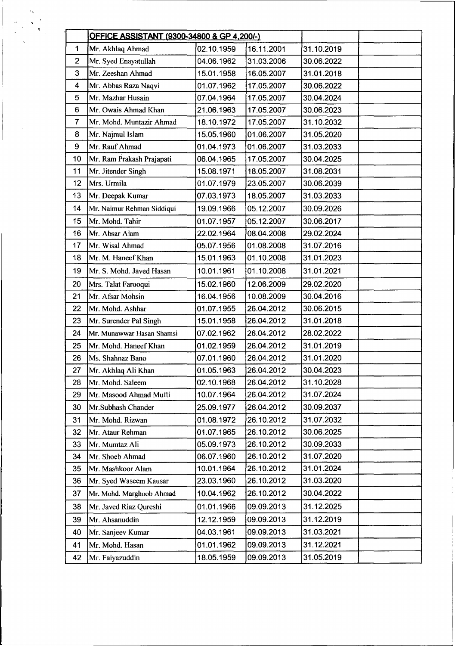|                | <b>OFFICE ASSISTANT (9300-34800 &amp; GP 4,200/-)</b> |            |            |            |        |
|----------------|-------------------------------------------------------|------------|------------|------------|--------|
| 1              | Mr. Akhlaq Ahmad                                      | 02.10.1959 | 16.11.2001 | 31.10.2019 |        |
| $\overline{2}$ | Mr. Syed Enayatullah                                  | 04.06.1962 | 31.03.2006 | 30.06.2022 |        |
| 3              | Mr. Zeeshan Ahmad                                     | 15.01.1958 | 16.05.2007 | 31.01.2018 |        |
| 4              | Mr. Abbas Raza Naqvi                                  | 01.07.1962 | 17.05.2007 | 30.06.2022 |        |
| 5              | Mr. Mazhar Husain                                     | 07.04.1964 | 17.05.2007 | 30.04.2024 |        |
| 6              | Mr. Owais Ahmad Khan                                  | 21.06.1963 | 17.05.2007 | 30.06.2023 |        |
| $\overline{7}$ | Mr. Mohd. Muntazir Ahmad                              | 18.10.1972 | 17.05.2007 | 31.10.2032 |        |
| 8              | Mr. Najmul Islam                                      | 15.05.1960 | 01.06.2007 | 31.05.2020 | $\sim$ |
| 9              | Mr. Rauf Ahmad                                        | 01.04.1973 | 01.06.2007 | 31.03.2033 |        |
| 10             | Mr. Ram Prakash Prajapati                             | 06.04.1965 | 17.05.2007 | 30.04.2025 |        |
| 11             | Mr. Jitender Singh                                    | 15.08.1971 | 18.05.2007 | 31.08.2031 |        |
| 12             | Mrs. Urmila                                           | 01.07.1979 | 23.05.2007 | 30.06.2039 |        |
| 13             | Mr. Deepak Kumar                                      | 07.03.1973 | 18.05.2007 | 31.03.2033 |        |
| 14             | Mr. Naimur Rehman Siddiqui                            | 19.09.1966 | 05.12.2007 | 30.09.2026 |        |
| 15             | Mr. Mohd. Tahir                                       | 01.07.1957 | 05.12.2007 | 30.06.2017 |        |
| 16             | Mr. Absar Alam                                        | 22.02.1964 | 08.04.2008 | 29.02.2024 |        |
| 17             | Mr. Wisal Ahmad                                       | 05.07.1956 | 01.08.2008 | 31.07.2016 |        |
| 18             | Mr. M. Haneef Khan                                    | 15.01.1963 | 01.10.2008 | 31.01.2023 |        |
| 19             | Mr. S. Mohd. Javed Hasan                              | 10.01.1961 | 01.10.2008 | 31.01.2021 |        |
| 20             | Mrs. Talat Farooqui                                   | 15.02.1960 | 12.06.2009 | 29.02.2020 |        |
| 21             | Mr. Afsar Mohsin                                      | 16.04.1956 | 10.08.2009 | 30.04.2016 |        |
| 22             | Mr. Mohd. Ashhar                                      | 01.07.1955 | 26.04.2012 | 30.06.2015 |        |
| 23             | Mr. Surender Pal Singh                                | 15.01.1958 | 26.04.2012 | 31.01.2018 |        |
| 24             | Mr. Munawwar Hasan Shamsi                             | 07.02.1962 | 26.04.2012 | 28.02.2022 |        |
| 25             | Mr. Mohd. Haneef Khan                                 | 01.02.1959 | 26.04.2012 | 31.01.2019 |        |
| 26             | Ms. Shahnaz Bano                                      | 07.01.1960 | 26.04.2012 | 31.01.2020 |        |
| 27             | Mr. Akhlaq Ali Khan                                   | 01.05.1963 | 26.04.2012 | 30.04.2023 |        |
| 28             | Mr. Mohd. Saleem                                      | 02.10.1968 | 26.04.2012 | 31.10.2028 |        |
| 29             | Mr. Masood Ahmad Mufti                                | 10.07.1964 | 26.04.2012 | 31.07.2024 |        |
| 30             | Mr.Subhash Chander                                    | 25.09.1977 | 26.04.2012 | 30.09.2037 |        |
| 31             | Mr. Mohd. Rizwan                                      | 01.08.1972 | 26.10.2012 | 31.07.2032 |        |
| 32             | Mr. Ataur Rehman                                      | 01.07.1965 | 26.10.2012 | 30.06.2025 |        |
| 33             | Mr. Mumtaz Ali                                        | 05.09.1973 | 26.10.2012 | 30.09.2033 |        |
| 34             | Mr. Shoeb Ahmad                                       | 06.07.1960 | 26.10.2012 | 31.07.2020 |        |
| 35             | Mr. Mashkoor Alam                                     | 10.01.1964 | 26.10.2012 | 31.01.2024 |        |
| 36             | Mr. Syed Waseem Kausar                                | 23.03.1960 | 26.10.2012 | 31.03.2020 |        |
| 37             | Mr. Mohd. Marghoob Ahmad                              | 10.04.1962 | 26.10.2012 | 30.04.2022 |        |
| 38             | Mr. Javed Riaz Qureshi                                | 01.01.1966 | 09.09.2013 | 31.12.2025 |        |
| 39             | Mr. Ahsanuddin                                        | 12.12.1959 | 09.09.2013 | 31.12.2019 |        |
| 40             | Mr. Sanjeev Kumar                                     | 04.03.1961 | 09.09.2013 | 31.03.2021 |        |
| 41             | Mr. Mohd. Hasan                                       | 01.01.1962 | 09.09.2013 | 31.12.2021 |        |
| 42             | Mr. Faiyazuddin                                       | 18.05.1959 | 09.09.2013 | 31.05.2019 |        |

 $\label{eq:1} \begin{array}{c} \displaystyle \frac{\partial \mathbf{x}}{\partial \mathbf{x}} = \frac{1}{2} \mathbf{x} \mathbf{y} \\ \displaystyle \frac{\partial \mathbf{x}}{\partial \mathbf{x}} = \frac{1}{2} \mathbf{x} \mathbf{y} \\ \displaystyle \frac{\partial \mathbf{x}}{\partial \mathbf{x}} = \frac{1}{2} \mathbf{x} \mathbf{y} \mathbf{y} \end{array}$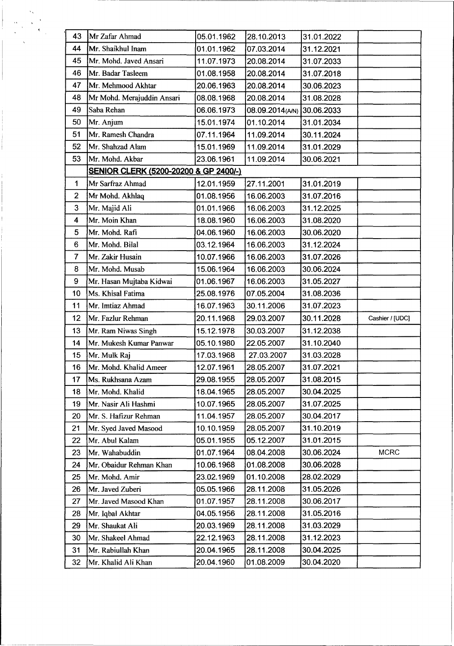| 43                      | Mr Zafar Ahmad                                   | 05.01.1962 | 28.10.2013                | 31.01.2022 |                 |  |
|-------------------------|--------------------------------------------------|------------|---------------------------|------------|-----------------|--|
| 44                      | Mr. Shaikhul Inam                                | 01.01.1962 | 07.03.2014                | 31.12.2021 |                 |  |
| 45                      | Mr. Mohd. Javed Ansari                           | 11.07.1973 | 20.08.2014                | 31.07.2033 |                 |  |
| 46                      | Mr. Badar Tasleem                                | 01.08.1958 | 20.08.2014                | 31.07.2018 |                 |  |
| 47                      | Mr. Mehmood Akhtar                               | 20.06.1963 | 20.08.2014                | 30.06.2023 |                 |  |
| 48                      | Mr Mohd. Merajuddin Ansari                       | 08.08.1968 | 20.08.2014                | 31.08.2028 |                 |  |
| 49                      | Saba Rehan                                       | 06.06.1973 | 08.09.2014(AN) 30.06.2033 |            |                 |  |
| 50                      | Mr. Anjum                                        | 15.01.1974 | 01.10.2014                | 31.01.2034 |                 |  |
| 51                      | Mr. Ramesh Chandra                               | 07.11.1964 | 11.09.2014                | 30.11.2024 |                 |  |
| 52                      | Mr. Shahzad Alam                                 | 15.01.1969 | 11.09.2014                | 31.01.2029 |                 |  |
| 53                      | Mr. Mohd. Akbar                                  | 23.06.1961 | 11.09.2014                | 30.06.2021 |                 |  |
|                         | <b>SENIOR CLERK (5200-20200 &amp; GP 2400/-)</b> |            |                           |            |                 |  |
| $\mathbf{1}$            | Mr Sarfraz Ahmad                                 | 12.01.1959 | 27.11.2001                | 31.01.2019 |                 |  |
| $\overline{2}$          | Mr Mohd. Akhlaq                                  | 01.08.1956 | 16.06.2003                | 31.07.2016 |                 |  |
| 3                       | Mr. Majid Ali                                    | 01.01.1966 | 16.06.2003                | 31.12.2025 |                 |  |
| $\overline{\mathbf{4}}$ | Mr. Moin Khan                                    | 18.08.1960 | 16.06.2003                | 31.08.2020 |                 |  |
| 5                       | Mr. Mohd. Rafi                                   | 04.06.1960 | 16.06.2003                | 30.06.2020 |                 |  |
| $6\phantom{1}6$         | Mr. Mohd. Bilal                                  | 03.12.1964 | 16.06.2003                | 31.12.2024 |                 |  |
| $\overline{7}$          | Mr. Zakir Husain                                 | 10.07.1966 | 16.06.2003                | 31.07.2026 |                 |  |
| 8                       | Mr. Mohd. Musab                                  | 15.06.1964 | 16.06.2003                | 30.06.2024 |                 |  |
| 9                       | Mr. Hasan Mujtaba Kidwai                         | 01.06.1967 | 16.06.2003                | 31.05.2027 |                 |  |
| 10                      | Ms. Khisal Fatima                                | 25.08.1976 | 07.05.2004                | 31.08.2036 |                 |  |
| 11                      | Mr. Imtiaz Ahmad                                 | 16.07.1963 | 30.11.2006                | 31.07.2023 |                 |  |
| 12                      | Mr. Fazlur Rehman                                | 20.11.1968 | 29.03.2007                | 30.11.2028 | Cashier / [UDC] |  |
| 13                      | Mr. Ram Niwas Singh                              | 15.12.1978 | 30.03.2007                | 31.12.2038 |                 |  |
| 14                      | Mr. Mukesh Kumar Panwar                          | 05.10.1980 | 22.05.2007                | 31.10.2040 |                 |  |
| 15                      | Mr. Mulk Raj                                     | 17.03.1968 | 27.03.2007                | 31.03.2028 |                 |  |
| 16                      | Mr. Mohd. Khalid Ameer                           | 12.07.1961 | 28.05.2007                | 31.07.2021 |                 |  |
| 17                      | Ms. Rukhsana Azam                                | 29.08.1955 | 28.05.2007                | 31.08.2015 |                 |  |
| 18                      | Mr. Mohd. Khalid                                 | 18.04.1965 | 28.05.2007                | 30.04.2025 |                 |  |
| 19                      | Mr. Nasir Ali Hashmi                             | 10.07.1965 | 28.05.2007                | 31.07.2025 |                 |  |
| 20                      | Mr. S. Hafizur Rehman                            | 11.04.1957 | 28.05.2007                | 30.04.2017 |                 |  |
| 21                      | Mr. Syed Javed Masood                            | 10.10.1959 | 28.05.2007                | 31.10.2019 |                 |  |
| 22                      | Mr. Abul Kalam                                   | 05.01.1955 | 05.12.2007                | 31.01.2015 |                 |  |
| 23                      | Mr. Wahabuddin                                   | 01.07.1964 | 08.04.2008                | 30.06.2024 | <b>MCRC</b>     |  |
| 24                      | Mr. Obaidur Rehman Khan                          | 10.06.1968 | 01.08.2008                | 30.06.2028 |                 |  |
| 25                      | Mr. Mohd. Amir                                   | 23.02.1969 | 01.10.2008                | 28.02.2029 |                 |  |
| 26                      | Mr. Javed Zuberi                                 | 05.05.1966 | 28.11.2008                | 31.05.2026 |                 |  |
| 27                      | Mr. Javed Masood Khan                            | 01.07.1957 | 28.11.2008                | 30.06.2017 |                 |  |
| 28                      | Mr. Iqbal Akhtar                                 | 04.05.1956 | 28.11.2008                | 31.05.2016 |                 |  |
| 29                      | Mr. Shaukat Ali                                  | 20.03.1969 | 28.11.2008                | 31.03.2029 |                 |  |
| 30                      | Mr. Shakeel Ahmad                                | 22.12.1963 | 28.11.2008                | 31.12.2023 |                 |  |
| 31                      | Mr. Rabiullah Khan                               | 20.04.1965 | 28.11.2008                | 30.04.2025 |                 |  |
| 32                      | Mr. Khalid Ali Khan                              | 20.04.1960 | 01.08.2009                | 30.04.2020 |                 |  |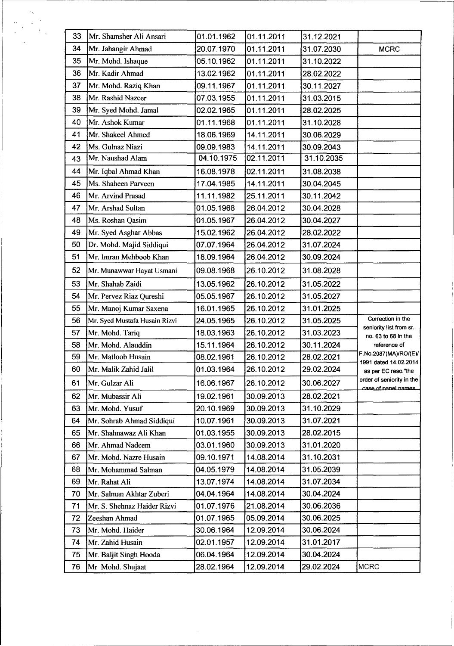| 33 | Mr. Shamsher Ali Ansari       | 01.01.1962 | 01.11.2011 | 31.12.2021 |                                                  |
|----|-------------------------------|------------|------------|------------|--------------------------------------------------|
| 34 | Mr. Jahangir Ahmad            | 20.07.1970 | 01.11.2011 | 31.07.2030 | <b>MCRC</b>                                      |
| 35 | Mr. Mohd. Ishaque             | 05.10.1962 | 01.11.2011 | 31.10.2022 |                                                  |
| 36 | Mr. Kadir Ahmad               | 13.02.1962 | 01.11.2011 | 28.02.2022 |                                                  |
| 37 | Mr. Mohd. Raziq Khan          | 09.11.1967 | 01.11.2011 | 30.11.2027 |                                                  |
| 38 | Mr. Rashid Nazeer             | 07.03.1955 | 01.11.2011 | 31.03.2015 |                                                  |
| 39 | Mr. Syed Mohd. Jamal          | 02.02.1965 | 01.11.2011 | 28.02.2025 |                                                  |
| 40 | Mr. Ashok Kumar               | 01.11.1968 | 01.11.2011 | 31.10.2028 |                                                  |
| 41 | Mr. Shakeel Ahmed             | 18.06.1969 | 14.11.2011 | 30.06.2029 |                                                  |
| 42 | Ms. Gulnaz Niazi              | 09.09.1983 | 14.11.2011 | 30.09.2043 |                                                  |
| 43 | Mr. Naushad Alam              | 04.10.1975 | 02.11.2011 | 31.10.2035 |                                                  |
| 44 | Mr. Iqbal Ahmad Khan          | 16.08.1978 | 02.11.2011 | 31.08.2038 |                                                  |
| 45 | Ms. Shaheen Parveen           | 17.04.1985 | 14.11.2011 | 30.04.2045 |                                                  |
| 46 | Mr. Arvind Prasad             | 11.11.1982 | 25.11.2011 | 30.11.2042 |                                                  |
| 47 | Mr. Arshad Sultan             | 01.05.1968 | 26.04.2012 | 30.04.2028 |                                                  |
| 48 | Ms. Roshan Qasim              | 01.05.1967 | 26.04.2012 | 30.04.2027 |                                                  |
| 49 | Mr. Syed Asghar Abbas         | 15.02.1962 | 26.04.2012 | 28.02.2022 |                                                  |
| 50 | Dr. Mohd. Majid Siddiqui      | 07.07.1964 | 26.04.2012 | 31.07.2024 |                                                  |
| 51 | Mr. Imran Mehboob Khan        | 18.09.1964 | 26.04.2012 | 30.09.2024 |                                                  |
| 52 | Mr. Munawwar Hayat Usmani     | 09.08.1968 | 26.10.2012 | 31.08.2028 |                                                  |
| 53 | Mr. Shahab Zaidi              | 13.05.1962 | 26.10.2012 | 31.05.2022 |                                                  |
| 54 | Mr. Pervez Riaz Qureshi       | 05.05.1967 | 26.10.2012 | 31.05.2027 |                                                  |
| 55 | Mr. Manoj Kumar Saxena        | 16.01.1965 | 26.10.2012 | 31.01.2025 |                                                  |
| 56 | Mr. Syed Mustafa Husain Rizvi | 24.05.1965 | 26.10.2012 | 31.05.2025 | Correction in the                                |
| 57 | Mr. Mohd. Tariq               | 18.03.1963 | 26.10.2012 | 31.03.2023 | seniority list from sr.<br>no. 63 to 68 in the   |
| 58 | Mr. Mohd. Alauddin            | 15.11.1964 | 26.10.2012 | 30.11.2024 | reference of                                     |
| 59 | Mr. Matloob Husain            | 08.02.1961 | 26.10.2012 | 28.02.2021 | F.No.2087(MA)/RO/(E)/<br>1991 dated 14.02.2014   |
| 60 | Mr. Malik Zahid Jalil         | 01.03.1964 | 26.10.2012 | 29.02.2024 | as per EC reso."the                              |
| 61 | Mr. Gulzar Ali                | 16.06.1967 | 26.10.2012 | 30.06.2027 | order of seniority in the<br>case of nanel names |
| 62 | Mr. Mubassir Ali              | 19.02.1961 | 30.09.2013 | 28.02.2021 |                                                  |
| 63 | Mr. Mohd. Yusuf               | 20.10.1969 | 30.09.2013 | 31.10.2029 |                                                  |
| 64 | Mr. Sohrab Ahmad Siddiqui     | 10.07.1961 | 30.09.2013 | 31.07.2021 |                                                  |
| 65 | Mr. Shahnawaz Ali Khan        | 01.03.1955 | 30.09.2013 | 28.02.2015 |                                                  |
| 66 | Mr. Ahmad Nadeem              | 03.01.1960 | 30.09.2013 | 31.01.2020 |                                                  |
| 67 | Mr. Mohd. Nazre Husain        | 09.10.1971 | 14.08.2014 | 31.10.2031 |                                                  |
| 68 | Mr. Mohammad Salman           | 04.05.1979 | 14.08.2014 | 31.05.2039 |                                                  |
| 69 | Mr. Rahat Ali                 | 13.07.1974 | 14.08.2014 | 31.07.2034 |                                                  |
| 70 | Mr. Salman Akhtar Zuberi      | 04.04.1964 | 14.08.2014 | 30.04.2024 |                                                  |
| 71 | Mr. S. Shehnaz Haider Rizvi   | 01.07.1976 | 21.08.2014 | 30.06.2036 |                                                  |
| 72 | Zeeshan Ahmad                 | 01.07.1965 | 05.09.2014 | 30.06.2025 |                                                  |
| 73 | Mr. Mohd. Haider              | 30.06.1964 | 12.09.2014 | 30.06.2024 |                                                  |
| 74 | Mr. Zahid Husain              | 02.01.1957 | 12.09.2014 | 31.01.2017 |                                                  |
| 75 | Mr. Baljit Singh Hooda        | 06.04.1964 | 12.09.2014 | 30.04.2024 |                                                  |
| 76 | Mr Mohd. Shujaat              | 28.02.1964 | 12.09.2014 | 29.02.2024 | <b>MCRC</b>                                      |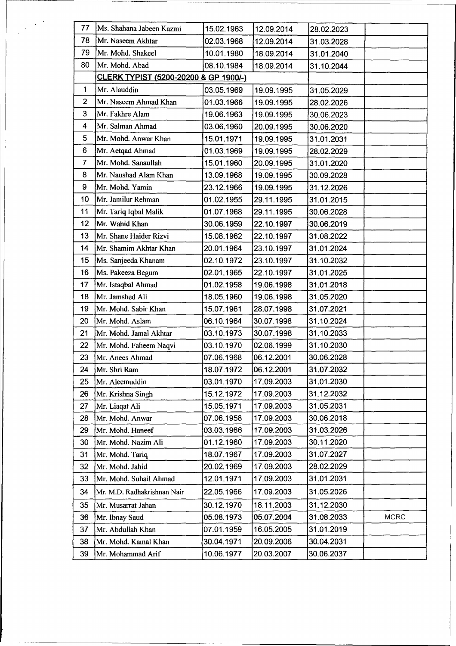| 77             | Ms. Shahana Jabeen Kazmi              | 15.02.1963 | 12.09.2014 | 28.02.2023 |             |
|----------------|---------------------------------------|------------|------------|------------|-------------|
| 78             | Mr. Naseem Akhtar                     | 02.03.1968 | 12.09.2014 | 31.03.2028 |             |
| 79             | Mr. Mohd. Shakeel                     | 10.01.1980 | 18.09.2014 | 31.01.2040 |             |
| 80             | Mr. Mohd. Abad                        | 08.10.1984 | 18.09.2014 | 31.10.2044 |             |
|                | CLERK TYPIST (5200-20200 & GP 1900/-) |            |            |            |             |
| $\mathbf 1$    | Mr. Alauddin                          | 03.05.1969 | 19.09.1995 | 31.05.2029 |             |
| $\overline{2}$ | Mr. Naseem Ahmad Khan                 | 01.03.1966 | 19.09.1995 | 28.02.2026 |             |
| 3              | Mr. Fakhre Alam                       | 19.06.1963 | 19.09.1995 | 30.06.2023 |             |
| 4              | Mr. Salman Ahmad                      | 03.06.1960 | 20.09.1995 | 30.06.2020 |             |
| 5              | Mr. Mohd. Anwar Khan                  | 15.01.1971 | 19.09.1995 | 31.01.2031 |             |
| 6              | Mr. Aetqad Ahmad                      | 01.03.1969 | 19.09.1995 | 28.02.2029 |             |
| $\overline{7}$ | Mr. Mohd. Sanaullah                   | 15.01.1960 | 20.09.1995 | 31.01.2020 |             |
| 8              | Mr. Naushad Alam Khan                 | 13.09.1968 | 19.09.1995 | 30.09.2028 |             |
| 9              | Mr. Mohd. Yamin                       | 23.12.1966 | 19.09.1995 | 31.12.2026 |             |
| 10             | Mr. Jamilur Rehman                    | 01.02.1955 | 29.11.1995 | 31.01.2015 |             |
| 11             | Mr. Tariq Iqbal Malik                 | 01.07.1968 | 29.11.1995 | 30.06.2028 |             |
| 12             | Mr. Wahid Khan                        | 30.06.1959 | 22.10.1997 | 30.06.2019 |             |
| 13             | Mr. Shane Haider Rizvi                | 15.08.1962 | 22.10.1997 | 31.08.2022 |             |
| 14             | Mr. Shamim Akhtar Khan                | 20.01.1964 | 23.10.1997 | 31.01.2024 |             |
| 15             | Ms. Sanjeeda Khanam                   | 02.10.1972 | 23.10.1997 | 31.10.2032 |             |
| 16             | Ms. Pakeeza Begum                     | 02.01.1965 | 22.10.1997 | 31.01.2025 |             |
| 17             | Mr. Istaqbal Ahmad                    | 01.02.1958 | 19.06.1998 | 31.01.2018 |             |
| 18             | Mr. Jamshed Ali                       | 18.05.1960 | 19.06.1998 | 31.05.2020 |             |
| 19             | Mr. Mohd. Sabir Khan                  | 15.07.1961 | 28.07.1998 | 31.07.2021 |             |
| 20             | Mr. Mohd. Aslam                       | 06.10.1964 | 30.07.1998 | 31.10.2024 |             |
| 21             | Mr. Mohd. Jamal Akhtar                | 03.10.1973 | 30.07.1998 | 31.10.2033 |             |
| 22             | Mr. Mohd. Faheem Naqvi                | 03.10.1970 | 02.06.1999 | 31.10.2030 |             |
| 23             | Mr. Anees Ahmad                       | 07.06.1968 | 06.12.2001 | 30.06.2028 |             |
| 24             | Mr. Shri Ram                          | 18.07.1972 | 06.12.2001 | 31.07.2032 |             |
| 25             | Mr. Aleemuddin                        | 03.01.1970 | 17.09.2003 | 31.01.2030 |             |
| 26             | Mr. Krishna Singh                     | 15.12.1972 | 17.09.2003 | 31.12.2032 |             |
| 27             | Mr. Liaqat Ali                        | 15.05.1971 | 17.09.2003 | 31.05.2031 |             |
| 28             | Mr. Mohd. Anwar                       | 07.06.1958 | 17.09.2003 | 30.06.2018 |             |
| 29             | Mr. Mohd. Haneef                      | 03.03.1966 | 17.09.2003 | 31.03.2026 |             |
| 30             | Mr. Mohd. Nazim Ali                   | 01.12.1960 | 17.09.2003 | 30.11.2020 |             |
| 31             | Mr. Mohd. Tariq                       | 18.07.1967 | 17.09.2003 | 31.07.2027 |             |
| 32             | Mr. Mohd. Jahid                       | 20.02.1969 | 17.09.2003 | 28.02.2029 |             |
| 33             | Mr. Mohd. Suhail Ahmad                | 12.01.1971 | 17.09.2003 | 31.01.2031 |             |
| 34             | Mr. M.D. Radhakrishnan Nair           | 22.05.1966 | 17.09.2003 | 31.05.2026 |             |
| 35             | Mr. Musarrat Jahan                    | 30.12.1970 | 18.11.2003 | 31.12.2030 |             |
| 36             | Mr. Ibnay Saud                        | 05.08.1973 | 05.07.2004 | 31.08.2033 | <b>MCRC</b> |
| 37             | Mr. Abdullah Khan                     | 07.01.1959 | 16.05.2005 | 31.01.2019 |             |
| 38             | Mr. Mohd. Kamal Khan                  | 30.04.1971 | 20.09.2006 | 30.04.2031 |             |
| 39             | Mr. Mohammad Arif                     | 10.06.1977 | 20.03.2007 | 30.06.2037 |             |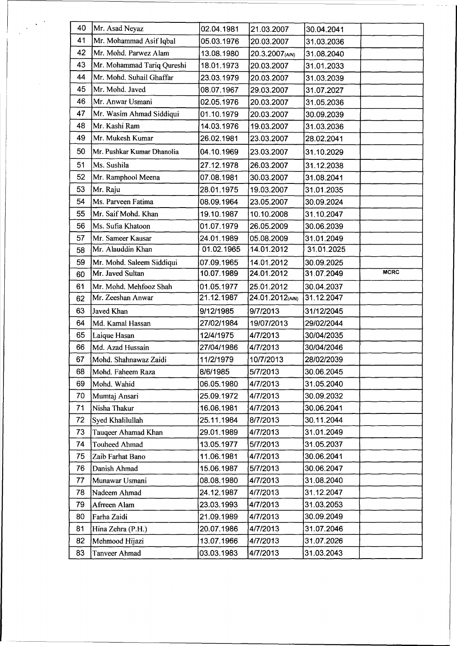| 40 | Mr. Asad Neyaz             | 02.04.1981 | 21.03.2007      | 30.04.2041 |             |
|----|----------------------------|------------|-----------------|------------|-------------|
| 41 | Mr. Mohammad Asif Iqbal    | 05.03.1976 | 20.03.2007      | 31.03.2036 |             |
| 42 | Mr. Mohd. Parwez Alam      | 13.08.1980 | 20.3.2007(A/N)  | 31.08.2040 |             |
| 43 | Mr. Mohammad Tariq Qureshi | 18.01.1973 | 20.03.2007      | 31.01.2033 |             |
| 44 | Mr. Mohd. Suhail Ghaffar   | 23.03.1979 | 20.03.2007      | 31.03.2039 |             |
| 45 | Mr. Mohd. Javed            | 08.07.1967 | 29.03.2007      | 31.07.2027 |             |
| 46 | Mr. Anwar Usmani           | 02.05.1976 | 20.03.2007      | 31.05.2036 |             |
| 47 | Mr. Wasim Ahmad Siddiqui   | 01.10.1979 | 20.03.2007      | 30.09.2039 |             |
| 48 | Mr. Kashi Ram              | 14.03.1976 | 19.03.2007      | 31.03.2036 |             |
| 49 | Mr. Mukesh Kumar           | 26.02.1981 | 23.03.2007      | 28.02.2041 |             |
| 50 | Mr. Pushkar Kumar Dhanolia | 04.10.1969 | 23.03.2007      | 31.10.2029 |             |
| 51 | Ms. Sushila                | 27.12.1978 | 26.03.2007      | 31.12.2038 |             |
| 52 | Mr. Ramphool Meena         | 07.08.1981 | 30.03.2007      | 31.08.2041 |             |
| 53 | Mr. Raju                   | 28.01.1975 | 19.03.2007      | 31.01.2035 |             |
| 54 | Ms. Parveen Fatima         | 08.09.1964 | 23.05.2007      | 30.09.2024 |             |
| 55 | Mr. Saif Mohd. Khan        | 19.10.1987 | 10.10.2008      | 31.10.2047 |             |
| 56 | Ms. Sufia Khatoon          | 01.07.1979 | 26.05.2009      | 30.06.2039 |             |
| 57 | Mr. Sameer Kausar          | 24.01.1989 | 05.08.2009      | 31.01.2049 |             |
| 58 | Mr. Alauddin Khan          | 01.02.1965 | 14.01.2012      | 31.01.2025 |             |
| 59 | Mr. Mohd. Saleem Siddiqui  | 07.09.1965 | 14.01.2012      | 30.09.2025 |             |
| 60 | Mr. Javed Sultan           | 10.07.1989 | 24.01.2012      | 31.07.2049 | <b>MCRC</b> |
| 61 | Mr. Mohd. Mehfooz Shah     | 01.05.1977 | 25.01.2012      | 30.04.2037 |             |
| 62 | Mr. Zeeshan Anwar          | 21.12.1987 | 24.01.2012(A/N) | 31.12.2047 |             |
| 63 | Javed Khan                 | 9/12/1985  | 9/7/2013        | 31/12/2045 |             |
| 64 | Md. Kamal Hassan           | 27/02/1984 | 19/07/2013      | 29/02/2044 |             |
| 65 | Laique Hasan               | 12/4/1975  | 4/7/2013        | 30/04/2035 |             |
| 66 | Md. Azad Hussain           | 27/04/1986 | 4/7/2013        | 30/04/2046 |             |
| 67 | Mohd. Shahnawaz Zaidi      | 11/2/1979  | 10/7/2013       | 28/02/2039 |             |
| 68 | Mohd. Faheem Raza          | 8/6/1985   | 5/7/2013        | 30.06.2045 |             |
| 69 | Mohd. Wahid                | 06.05.1980 | 4/7/2013        | 31.05.2040 |             |
| 70 | Mumtaj Ansari              | 25.09.1972 | 4/7/2013        | 30.09.2032 |             |
| 71 | Nisha Thakur               | 16.06.1981 | 4/7/2013        | 30.06.2041 |             |
| 72 | Syed Khalilullah           | 25.11.1984 | 8/7/2013        | 30.11.2044 |             |
| 73 | Tauqeer Ahamad Khan        | 29.01.1989 | 4/7/2013        | 31.01.2049 |             |
| 74 | <b>Touheed Ahmad</b>       | 13.05.1977 | 5/7/2013        | 31.05.2037 |             |
| 75 | Zaib Farhat Bano           | 11.06.1981 | 4/7/2013        | 30.06.2041 |             |
| 76 | Danish Ahmad               | 15.06.1987 | 5/7/2013        | 30.06.2047 |             |
| 77 | Munawar Usmani             | 08.08.1980 | 4/7/2013        | 31.08.2040 |             |
| 78 | Nadeem Ahmad               | 24.12.1987 | 4/7/2013        | 31.12.2047 |             |
| 79 | Afrreen Alam               | 23.03.1993 | 4/7/2013        | 31.03.2053 |             |
| 80 | Farha Zaidi                | 21.09.1989 | 4/7/2013        | 30.09.2049 |             |
| 81 |                            |            |                 |            |             |
|    | Hina Zehra (P.H.)          | 20.07.1986 | 4/7/2013        | 31.07.2046 |             |
| 82 | Mehmood Hijazi             | 13.07.1966 | 4/7/2013        | 31.07.2026 |             |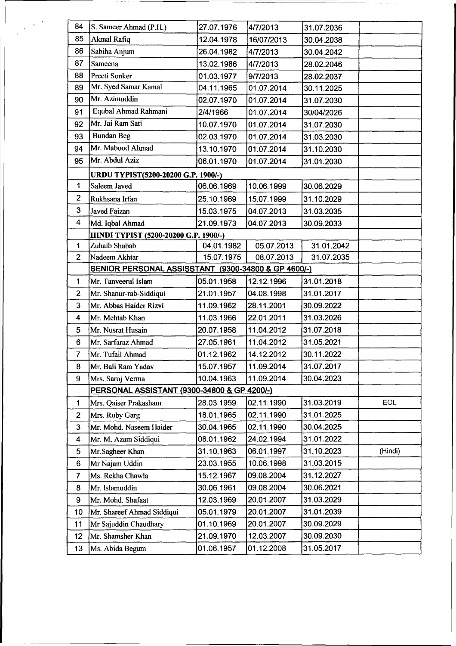| 84              | S. Sameer Ahmad (P.H.)                              | 27.07.1976 | 4/7/2013   | 31.07.2036 |         |  |
|-----------------|-----------------------------------------------------|------------|------------|------------|---------|--|
| 85              | Akmal Rafiq                                         | 12.04.1978 | 16/07/2013 | 30.04.2038 |         |  |
| 86              | Sabiha Anjum                                        | 26.04.1982 | 4/7/2013   | 30.04.2042 |         |  |
| 87              | Sameena                                             | 13.02.1986 | 4/7/2013   | 28.02.2046 |         |  |
| 88              | Preeti Sonker                                       | 01.03.1977 | 9/7/2013   | 28.02.2037 |         |  |
| 89              | Mr. Syed Samar Kamal                                | 04.11.1965 | 01.07.2014 | 30.11.2025 |         |  |
| 90              | Mr. Azimuddin                                       | 02.07.1970 | 01.07.2014 | 31.07.2030 |         |  |
| 91              | Equbal Ahmad Rahmani                                | 2/4/1966   | 01.07.2014 | 30/04/2026 |         |  |
| 92              | Mr. Jai Ram Sati                                    | 10.07.1970 | 01.07.2014 | 31.07.2030 |         |  |
| 93              | <b>Bundan Beg</b>                                   | 02.03.1970 | 01.07.2014 | 31.03.2030 |         |  |
| 94              | Mr. Mabood Ahmad                                    | 13.10.1970 | 01.07.2014 | 31.10.2030 |         |  |
| 95              | Mr. Abdul Aziz                                      | 06.01.1970 | 01.07.2014 | 31.01.2030 |         |  |
|                 | URDU TYPIST(5200-20200 G.P. 1900/-)                 |            |            |            |         |  |
| 1               | Saleem Javed                                        | 06.06.1969 | 10.06.1999 | 30.06.2029 |         |  |
| $\overline{2}$  | Rukhsana Irfan                                      | 25.10.1969 | 15.07.1999 | 31.10.2029 |         |  |
| 3               | <b>Javed Faizan</b>                                 | 15.03.1975 | 04.07.2013 | 31.03.2035 |         |  |
| 4               | Md. Iqbal Ahmad                                     | 21.09.1973 | 04.07.2013 | 30.09.2033 |         |  |
|                 | HINDI TYPIST (5200-20200 G.P. 1900/-)               |            |            |            |         |  |
| 1               | Zuhaib Shabab                                       | 04.01.1982 | 05.07.2013 | 31.01.2042 |         |  |
| $\overline{2}$  | Nadeem Akhtar                                       | 15.07.1975 | 08.07.2013 | 31.07.2035 |         |  |
|                 | SENIOR PERSONAL ASSISSTANT (9300-34800 & GP 4600/-) |            |            |            |         |  |
| 1               | Mr. Tanveerul Islam                                 | 31.01.2018 |            |            |         |  |
| $\overline{2}$  | Mr. Shanur-rab-Siddiqui                             | 21.01.1957 | 04.08.1998 | 31.01.2017 |         |  |
| 3               | Mr. Abbas Haider Rizvi                              | 11.09.1962 | 28.11.2001 | 30.09.2022 |         |  |
| 4               | Mr. Mehtab Khan                                     | 11.03.1966 | 22.01.2011 | 31.03.2026 |         |  |
| 5               | Mr. Nusrat Husain                                   | 20.07.1958 | 11.04.2012 | 31.07.2018 |         |  |
| $6\phantom{1}6$ | Mr. Sarfaraz Ahmad                                  | 27.05.1961 | 11.04.2012 | 31.05.2021 |         |  |
| $\overline{7}$  | Mr. Tufail Ahmad                                    | 01.12.1962 | 14.12.2012 | 30.11.2022 |         |  |
| 8               | Mr. Bali Ram Yadav                                  | 15.07.1957 | 11.09.2014 | 31.07.2017 |         |  |
| 9               | Mrs. Saroj Verma                                    | 10.04.1963 | 11.09.2014 | 30.04.2023 |         |  |
|                 | PERSONAL ASSISTANT (9300-34800 & GP 4200/-)         |            |            |            |         |  |
| $\mathbf{1}$    | Mrs. Qaiser Prakasham                               | 28.03.1959 | 02.11.1990 | 31.03.2019 | EOL     |  |
| $\mathbf{2}$    | Mrs. Ruby Garg                                      | 18.01.1965 | 02.11.1990 | 31.01.2025 |         |  |
| 3               | Mr. Mohd. Naseem Haider                             | 30.04.1965 | 02.11.1990 | 30.04.2025 |         |  |
| 4               | Mr. M. Azam Siddiqui                                | 06.01.1962 | 24.02.1994 | 31.01.2022 |         |  |
| 5               | Mr.Sagheer Khan                                     | 31.10.1963 | 06.01.1997 | 31.10.2023 | (Hindi) |  |
| $6\phantom{1}$  | Mr Najam Uddin                                      | 23.03.1955 | 10.06.1998 | 31.03.2015 |         |  |
| $\overline{7}$  | Ms. Rekha Chawla                                    | 15.12.1967 | 09.08.2004 | 31.12.2027 |         |  |
| 8               | Mr. Islamuddin                                      | 30.06.1961 | 09.08.2004 | 30.06.2021 |         |  |
| 9               | Mr. Mohd. Shafaat                                   | 12.03.1969 | 20.01.2007 | 31.03.2029 |         |  |
| 10              | Mr. Shareef Ahmad Siddiqui                          | 05.01.1979 | 20.01.2007 | 31.01.2039 |         |  |
| 11              | Mr Sajuddin Chaudhary                               | 01.10.1969 | 20.01.2007 | 30.09.2029 |         |  |
| 12              | Mr. Shamsher Khan                                   | 21.09.1970 | 12.03.2007 | 30.09.2030 |         |  |
| 13              | Ms. Abida Begum                                     | 01.06.1957 | 01.12.2008 | 31.05.2017 |         |  |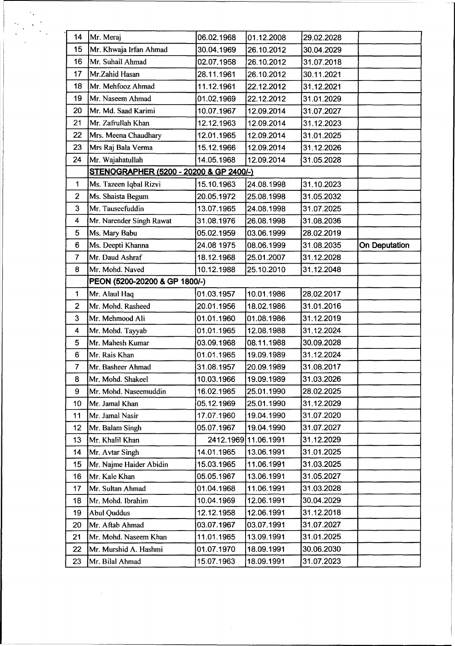| 14             | Mr. Meraj                               | 06.02.1968 | 01.12.2008           | 29.02.2028 |                      |
|----------------|-----------------------------------------|------------|----------------------|------------|----------------------|
| 15             | Mr. Khwaja Irfan Ahmad                  | 30.04.1969 | 26.10.2012           | 30.04.2029 |                      |
| 16             | Mr. Suhail Ahmad                        | 02.07.1958 | 26.10.2012           | 31.07.2018 |                      |
| 17             | Mr.Zahid Hasan                          | 28.11.1961 | 26.10.2012           | 30.11.2021 |                      |
| 18             | Mr. Mehfooz Ahmad                       | 11.12.1961 | 22.12.2012           | 31.12.2021 |                      |
| 19             | Mr. Naseem Ahmad                        | 01.02.1969 | 22.12.2012           | 31.01.2029 |                      |
| 20             | Mr. Md. Saad Karimi                     | 10.07.1967 | 12.09.2014           | 31.07.2027 |                      |
| 21             | Mr. Zafrullah Khan                      | 12.12.1963 | 12.09.2014           | 31.12.2023 |                      |
| 22             | Mrs. Meena Chaudhary                    | 12.01.1965 | 12.09.2014           | 31.01.2025 |                      |
| 23             | Mrs Raj Bala Verma                      | 15.12.1966 | 12.09.2014           | 31.12.2026 |                      |
| 24             | Mr. Wajahatullah                        | 14.05.1968 | 12.09.2014           | 31.05.2028 |                      |
|                | STENOGRAPHER (5200 - 20200 & GP 2400/-) |            |                      |            |                      |
| 1              | Ms. Tazeen Iqbal Rizvi                  | 15.10.1963 | 24.08.1998           | 31.10.2023 |                      |
| $\overline{c}$ | Ms. Shaista Begum                       | 20.05.1972 | 25.08.1998           | 31.05.2032 |                      |
| 3              | Mr. Tauseefuddin                        | 13.07.1965 | 24.08.1998           | 31.07.2025 |                      |
| 4              | Mr. Narender Singh Rawat                | 31.08.1976 | 26.08.1998           | 31.08.2036 |                      |
| 5              | Ms. Mary Babu                           | 05.02.1959 | 03.06.1999           | 28.02.2019 |                      |
| 6              | Ms. Deepti Khanna                       | 24.08 1975 | 08.06.1999           | 31.08.2035 | <b>On Deputation</b> |
| $\overline{7}$ | Mr. Daud Ashraf                         | 18.12.1968 | 25.01.2007           | 31.12.2028 |                      |
| 8              | Mr. Mohd. Naved                         | 10.12.1988 | 25.10.2010           | 31.12.2048 |                      |
|                | PEON (5200-20200 & GP 1800/-)           |            |                      |            |                      |
| 1              | Mr. Alaul Haq                           | 01.03.1957 | 10.01.1986           | 28.02.2017 |                      |
| $\overline{2}$ | Mr. Mohd. Rasheed                       | 20.01.1956 | 18.02.1986           | 31.01.2016 |                      |
| 3              | Mr. Mehmood Ali                         | 01.01.1960 | 01.08.1986           | 31.12.2019 |                      |
| 4              | Mr. Mohd. Tayyab                        | 01.01.1965 | 12.08.1988           | 31.12.2024 |                      |
| 5              | Mr. Mahesh Kumar                        | 03.09.1968 | 08.11.1988           | 30.09.2028 |                      |
| 6              | Mr. Rais Khan                           | 01.01.1965 | 19.09.1989           | 31.12.2024 |                      |
| 7              | Mr. Basheer Ahmad                       | 31.08.1957 | 20.09.1989           | 31.08.2017 |                      |
| 8              | Mr. Mohd. Shakeel                       | 10.03.1966 | 19.09.1989           | 31.03.2026 |                      |
| 9              | Mr. Mohd. Naseemuddin                   | 16.02.1965 | 25.01.1990           | 28.02.2025 |                      |
| 10             | Mr. Jamal Khan                          | 05.12.1969 | 25.01.1990           | 31.12.2029 |                      |
| 11             | Mr. Jamal Nasir                         | 17.07.1960 | 19.04.1990           | 31.07.2020 |                      |
| 12             | Mr. Balam Singh                         | 05.07.1967 | 19.04.1990           | 31.07.2027 |                      |
| 13             | Mr. Khalil Khan                         |            | 2412.1969 11.06.1991 | 31.12.2029 |                      |
| 14             | Mr. Avtar Singh                         | 14.01.1965 | 13.06.1991           | 31.01.2025 |                      |
| 15             | Mr. Najme Haider Abidin                 | 15.03.1965 | 11.06.1991           | 31.03.2025 |                      |
| 16             | Mr. Kale Khan                           | 05.05.1967 | 13.06.1991           | 31.05.2027 |                      |
| 17             | Mr. Sultan Ahmad                        | 01.04.1968 | 11.06.1991           | 31.03.2028 |                      |
| 18             | Mr. Mohd. Ibrahim                       | 10.04.1969 | 12.06.1991           | 30.04.2029 |                      |
| 19             | <b>Abul Quddus</b>                      | 12.12.1958 | 12.06.1991           | 31.12.2018 |                      |
| 20             | Mr. Aftab Ahmad                         | 03.07.1967 | 03.07.1991           | 31.07.2027 |                      |
| 21             | Mr. Mohd. Naseem Khan                   | 11.01.1965 | 13.09.1991           | 31.01.2025 |                      |
| 22             | Mr. Murshid A. Hashmi                   | 01.07.1970 | 18.09.1991           | 30.06.2030 |                      |
| 23             | Mr. Bilal Ahmad                         | 15.07.1963 | 18.09.1991           | 31.07.2023 |                      |

 $\sim$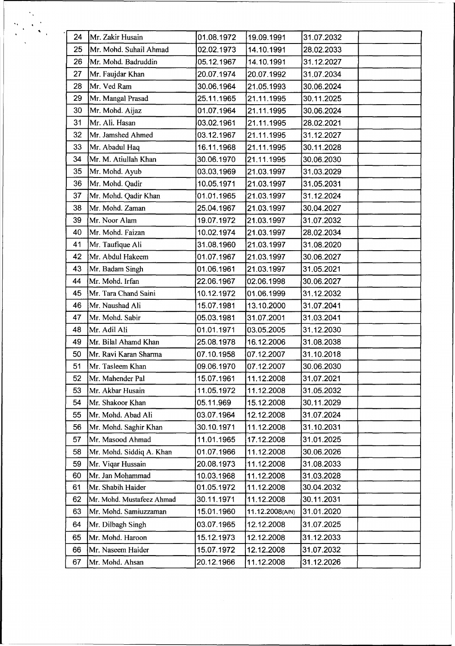| 24<br>Mr. Zakir Husain<br>01.08.1972<br>19.09.1991<br>31.07.2032<br>25<br>Mr. Mohd. Suhail Ahmad<br>02.02.1973<br>14.10.1991<br>28.02.2033<br>26<br>Mr. Mohd. Badruddin<br>14.10.1991<br>05.12.1967<br>31.12.2027<br>Mr. Faujdar Khan<br>27<br>20.07.1974<br>20.07.1992<br>31.07.2034<br>Mr. Ved Ram<br>28<br>21.05.1993<br>30.06.2024<br>30.06.1964<br>29<br>Mr. Mangal Prasad<br>25.11.1965<br>21.11.1995<br>30.11.2025<br>Mr. Mohd. Aijaz<br>30<br>30.06.2024<br>01.07.1964<br>21.11.1995<br>Mr. Ali. Hasan<br>31<br>03.02.1961<br>21.11.1995<br>28.02.2021<br>32<br>Mr. Jamshed Ahmed<br>03.12.1967<br>21.11.1995<br>31.12.2027<br>Mr. Abadul Haq<br>33<br>16.11.1968<br>21.11.1995<br>30.11.2028<br>Mr. M. Atiullah Khan<br>34<br>30.06.1970<br>21.11.1995<br>30.06.2030<br>35<br>Mr. Mohd. Ayub<br>03.03.1969<br>21.03.1997<br>31.03.2029<br>Mr. Mohd. Qadir<br>36<br>10.05.1971<br>21.03.1997<br>31.05.2031<br>Mr. Mohd. Qadir Khan<br>01.01.1965<br>21.03.1997<br>37<br>31.12.2024<br>38<br>Mr. Mohd. Zaman<br>25.04.1967<br>21.03.1997<br>30.04.2027<br>39<br>Mr. Noor Alam<br>19.07.1972<br>21.03.1997<br>31.07.2032<br>40<br>Mr. Mohd. Faizan<br>10.02.1974<br>21.03.1997<br>28.02.2034<br>Mr. Taufique Ali<br>41<br>31.08.1960<br>21.03.1997<br>31.08.2020<br>Mr. Abdul Hakeem<br>42<br>01.07.1967<br>21.03.1997<br>30.06.2027<br>43<br>01.06.1961<br>Mr. Badam Singh<br>21.03.1997<br>31.05.2021<br>Mr. Mohd. Irfan<br>02.06.1998<br>30.06.2027<br>44<br>22.06.1967<br>Mr. Tara Chand Saini<br>01.06.1999<br>31.12.2032<br>45<br>10.12.1972<br>Mr. Naushad Ali<br>46<br>15.07.1981<br>13.10.2000<br>31.07.2041<br>Mr. Mohd. Sabir<br>31.07.2001<br>47<br>05.03.1981<br>31.03.2041<br>Mr. Adil Ali<br>01.01.1971<br>03.05.2005<br>31.12.2030<br>48<br>49<br>Mr. Bilal Ahamd Khan<br>25.08.1978<br>16.12.2006<br>31.08.2038<br>31.10.2018<br>50<br>Mr. Ravi Karan Sharma<br>07.10.1958<br>07.12.2007<br>51<br>30.06.2030<br>Mr. Tasleem Khan<br>09.06.1970<br>07.12.2007<br>11.12.2008<br>31.07.2021<br>52<br>Mr. Mahender Pal<br>15.07.1961<br>53<br>Mr. Akbar Husain<br>11.05.1972<br>11.12.2008<br>31.05.2032<br>54<br>05.11.969<br>15.12.2008<br>30.11.2029<br>Mr. Shakoor Khan<br>Mr. Mohd. Abad Ali<br>03.07.1964<br>12.12.2008<br>31.07.2024<br>55<br>30.10.1971<br>31.10.2031<br>56<br>Mr. Mohd. Saghir Khan<br>11.12.2008<br>Mr. Masood Ahmad<br>11.01.1965<br>31.01.2025<br>57<br>17.12.2008<br>Mr. Mohd. Siddiq A. Khan<br>01.07.1966<br>11.12.2008<br>30.06.2026<br>58<br>Mr. Vigar Hussain<br>20.08.1973<br>11.12.2008<br>59<br>31.08.2033<br>Mr. Jan Mohammad<br>60<br>10.03.1968<br>11.12.2008<br>31.03.2028<br>Mr. Shabih Haider<br>01.05.1972<br>11.12.2008<br>30.04.2032<br>61<br>30.11.1971<br>11.12.2008<br>30.11.2031<br>62<br>Mr. Mohd. Mustafeez Ahmad<br>15.01.1960<br>31.01.2020<br>63<br>Mr. Mohd. Samiuzzaman<br>11.12.2008(A/N)<br>31.07.2025<br>Mr. Dilbagh Singh<br>03.07.1965<br>12.12.2008<br>64<br>Mr. Mohd. Haroon<br>15.12.1973<br>12.12.2008<br>31.12.2033<br>65<br>15.07.1972<br>12.12.2008<br>31.07.2032<br>Mr. Naseem Haider<br>66<br>20.12.1966<br>11.12.2008<br>31.12.2026<br>67<br>Mr. Mohd. Ahsan |  |  |  |
|---------------------------------------------------------------------------------------------------------------------------------------------------------------------------------------------------------------------------------------------------------------------------------------------------------------------------------------------------------------------------------------------------------------------------------------------------------------------------------------------------------------------------------------------------------------------------------------------------------------------------------------------------------------------------------------------------------------------------------------------------------------------------------------------------------------------------------------------------------------------------------------------------------------------------------------------------------------------------------------------------------------------------------------------------------------------------------------------------------------------------------------------------------------------------------------------------------------------------------------------------------------------------------------------------------------------------------------------------------------------------------------------------------------------------------------------------------------------------------------------------------------------------------------------------------------------------------------------------------------------------------------------------------------------------------------------------------------------------------------------------------------------------------------------------------------------------------------------------------------------------------------------------------------------------------------------------------------------------------------------------------------------------------------------------------------------------------------------------------------------------------------------------------------------------------------------------------------------------------------------------------------------------------------------------------------------------------------------------------------------------------------------------------------------------------------------------------------------------------------------------------------------------------------------------------------------------------------------------------------------------------------------------------------------------------------------------------------------------------------------------------------------------------------------------------------------------------------------------------------------------------------------------------------------------------------------------------------------------------------------------------------------------------------------------------------------------------------------------------------------------------------------------------|--|--|--|
|                                                                                                                                                                                                                                                                                                                                                                                                                                                                                                                                                                                                                                                                                                                                                                                                                                                                                                                                                                                                                                                                                                                                                                                                                                                                                                                                                                                                                                                                                                                                                                                                                                                                                                                                                                                                                                                                                                                                                                                                                                                                                                                                                                                                                                                                                                                                                                                                                                                                                                                                                                                                                                                                                                                                                                                                                                                                                                                                                                                                                                                                                                                                                         |  |  |  |
|                                                                                                                                                                                                                                                                                                                                                                                                                                                                                                                                                                                                                                                                                                                                                                                                                                                                                                                                                                                                                                                                                                                                                                                                                                                                                                                                                                                                                                                                                                                                                                                                                                                                                                                                                                                                                                                                                                                                                                                                                                                                                                                                                                                                                                                                                                                                                                                                                                                                                                                                                                                                                                                                                                                                                                                                                                                                                                                                                                                                                                                                                                                                                         |  |  |  |
|                                                                                                                                                                                                                                                                                                                                                                                                                                                                                                                                                                                                                                                                                                                                                                                                                                                                                                                                                                                                                                                                                                                                                                                                                                                                                                                                                                                                                                                                                                                                                                                                                                                                                                                                                                                                                                                                                                                                                                                                                                                                                                                                                                                                                                                                                                                                                                                                                                                                                                                                                                                                                                                                                                                                                                                                                                                                                                                                                                                                                                                                                                                                                         |  |  |  |
|                                                                                                                                                                                                                                                                                                                                                                                                                                                                                                                                                                                                                                                                                                                                                                                                                                                                                                                                                                                                                                                                                                                                                                                                                                                                                                                                                                                                                                                                                                                                                                                                                                                                                                                                                                                                                                                                                                                                                                                                                                                                                                                                                                                                                                                                                                                                                                                                                                                                                                                                                                                                                                                                                                                                                                                                                                                                                                                                                                                                                                                                                                                                                         |  |  |  |
|                                                                                                                                                                                                                                                                                                                                                                                                                                                                                                                                                                                                                                                                                                                                                                                                                                                                                                                                                                                                                                                                                                                                                                                                                                                                                                                                                                                                                                                                                                                                                                                                                                                                                                                                                                                                                                                                                                                                                                                                                                                                                                                                                                                                                                                                                                                                                                                                                                                                                                                                                                                                                                                                                                                                                                                                                                                                                                                                                                                                                                                                                                                                                         |  |  |  |
|                                                                                                                                                                                                                                                                                                                                                                                                                                                                                                                                                                                                                                                                                                                                                                                                                                                                                                                                                                                                                                                                                                                                                                                                                                                                                                                                                                                                                                                                                                                                                                                                                                                                                                                                                                                                                                                                                                                                                                                                                                                                                                                                                                                                                                                                                                                                                                                                                                                                                                                                                                                                                                                                                                                                                                                                                                                                                                                                                                                                                                                                                                                                                         |  |  |  |
|                                                                                                                                                                                                                                                                                                                                                                                                                                                                                                                                                                                                                                                                                                                                                                                                                                                                                                                                                                                                                                                                                                                                                                                                                                                                                                                                                                                                                                                                                                                                                                                                                                                                                                                                                                                                                                                                                                                                                                                                                                                                                                                                                                                                                                                                                                                                                                                                                                                                                                                                                                                                                                                                                                                                                                                                                                                                                                                                                                                                                                                                                                                                                         |  |  |  |
|                                                                                                                                                                                                                                                                                                                                                                                                                                                                                                                                                                                                                                                                                                                                                                                                                                                                                                                                                                                                                                                                                                                                                                                                                                                                                                                                                                                                                                                                                                                                                                                                                                                                                                                                                                                                                                                                                                                                                                                                                                                                                                                                                                                                                                                                                                                                                                                                                                                                                                                                                                                                                                                                                                                                                                                                                                                                                                                                                                                                                                                                                                                                                         |  |  |  |
|                                                                                                                                                                                                                                                                                                                                                                                                                                                                                                                                                                                                                                                                                                                                                                                                                                                                                                                                                                                                                                                                                                                                                                                                                                                                                                                                                                                                                                                                                                                                                                                                                                                                                                                                                                                                                                                                                                                                                                                                                                                                                                                                                                                                                                                                                                                                                                                                                                                                                                                                                                                                                                                                                                                                                                                                                                                                                                                                                                                                                                                                                                                                                         |  |  |  |
|                                                                                                                                                                                                                                                                                                                                                                                                                                                                                                                                                                                                                                                                                                                                                                                                                                                                                                                                                                                                                                                                                                                                                                                                                                                                                                                                                                                                                                                                                                                                                                                                                                                                                                                                                                                                                                                                                                                                                                                                                                                                                                                                                                                                                                                                                                                                                                                                                                                                                                                                                                                                                                                                                                                                                                                                                                                                                                                                                                                                                                                                                                                                                         |  |  |  |
|                                                                                                                                                                                                                                                                                                                                                                                                                                                                                                                                                                                                                                                                                                                                                                                                                                                                                                                                                                                                                                                                                                                                                                                                                                                                                                                                                                                                                                                                                                                                                                                                                                                                                                                                                                                                                                                                                                                                                                                                                                                                                                                                                                                                                                                                                                                                                                                                                                                                                                                                                                                                                                                                                                                                                                                                                                                                                                                                                                                                                                                                                                                                                         |  |  |  |
|                                                                                                                                                                                                                                                                                                                                                                                                                                                                                                                                                                                                                                                                                                                                                                                                                                                                                                                                                                                                                                                                                                                                                                                                                                                                                                                                                                                                                                                                                                                                                                                                                                                                                                                                                                                                                                                                                                                                                                                                                                                                                                                                                                                                                                                                                                                                                                                                                                                                                                                                                                                                                                                                                                                                                                                                                                                                                                                                                                                                                                                                                                                                                         |  |  |  |
|                                                                                                                                                                                                                                                                                                                                                                                                                                                                                                                                                                                                                                                                                                                                                                                                                                                                                                                                                                                                                                                                                                                                                                                                                                                                                                                                                                                                                                                                                                                                                                                                                                                                                                                                                                                                                                                                                                                                                                                                                                                                                                                                                                                                                                                                                                                                                                                                                                                                                                                                                                                                                                                                                                                                                                                                                                                                                                                                                                                                                                                                                                                                                         |  |  |  |
|                                                                                                                                                                                                                                                                                                                                                                                                                                                                                                                                                                                                                                                                                                                                                                                                                                                                                                                                                                                                                                                                                                                                                                                                                                                                                                                                                                                                                                                                                                                                                                                                                                                                                                                                                                                                                                                                                                                                                                                                                                                                                                                                                                                                                                                                                                                                                                                                                                                                                                                                                                                                                                                                                                                                                                                                                                                                                                                                                                                                                                                                                                                                                         |  |  |  |
|                                                                                                                                                                                                                                                                                                                                                                                                                                                                                                                                                                                                                                                                                                                                                                                                                                                                                                                                                                                                                                                                                                                                                                                                                                                                                                                                                                                                                                                                                                                                                                                                                                                                                                                                                                                                                                                                                                                                                                                                                                                                                                                                                                                                                                                                                                                                                                                                                                                                                                                                                                                                                                                                                                                                                                                                                                                                                                                                                                                                                                                                                                                                                         |  |  |  |
|                                                                                                                                                                                                                                                                                                                                                                                                                                                                                                                                                                                                                                                                                                                                                                                                                                                                                                                                                                                                                                                                                                                                                                                                                                                                                                                                                                                                                                                                                                                                                                                                                                                                                                                                                                                                                                                                                                                                                                                                                                                                                                                                                                                                                                                                                                                                                                                                                                                                                                                                                                                                                                                                                                                                                                                                                                                                                                                                                                                                                                                                                                                                                         |  |  |  |
|                                                                                                                                                                                                                                                                                                                                                                                                                                                                                                                                                                                                                                                                                                                                                                                                                                                                                                                                                                                                                                                                                                                                                                                                                                                                                                                                                                                                                                                                                                                                                                                                                                                                                                                                                                                                                                                                                                                                                                                                                                                                                                                                                                                                                                                                                                                                                                                                                                                                                                                                                                                                                                                                                                                                                                                                                                                                                                                                                                                                                                                                                                                                                         |  |  |  |
|                                                                                                                                                                                                                                                                                                                                                                                                                                                                                                                                                                                                                                                                                                                                                                                                                                                                                                                                                                                                                                                                                                                                                                                                                                                                                                                                                                                                                                                                                                                                                                                                                                                                                                                                                                                                                                                                                                                                                                                                                                                                                                                                                                                                                                                                                                                                                                                                                                                                                                                                                                                                                                                                                                                                                                                                                                                                                                                                                                                                                                                                                                                                                         |  |  |  |
|                                                                                                                                                                                                                                                                                                                                                                                                                                                                                                                                                                                                                                                                                                                                                                                                                                                                                                                                                                                                                                                                                                                                                                                                                                                                                                                                                                                                                                                                                                                                                                                                                                                                                                                                                                                                                                                                                                                                                                                                                                                                                                                                                                                                                                                                                                                                                                                                                                                                                                                                                                                                                                                                                                                                                                                                                                                                                                                                                                                                                                                                                                                                                         |  |  |  |
|                                                                                                                                                                                                                                                                                                                                                                                                                                                                                                                                                                                                                                                                                                                                                                                                                                                                                                                                                                                                                                                                                                                                                                                                                                                                                                                                                                                                                                                                                                                                                                                                                                                                                                                                                                                                                                                                                                                                                                                                                                                                                                                                                                                                                                                                                                                                                                                                                                                                                                                                                                                                                                                                                                                                                                                                                                                                                                                                                                                                                                                                                                                                                         |  |  |  |
|                                                                                                                                                                                                                                                                                                                                                                                                                                                                                                                                                                                                                                                                                                                                                                                                                                                                                                                                                                                                                                                                                                                                                                                                                                                                                                                                                                                                                                                                                                                                                                                                                                                                                                                                                                                                                                                                                                                                                                                                                                                                                                                                                                                                                                                                                                                                                                                                                                                                                                                                                                                                                                                                                                                                                                                                                                                                                                                                                                                                                                                                                                                                                         |  |  |  |
|                                                                                                                                                                                                                                                                                                                                                                                                                                                                                                                                                                                                                                                                                                                                                                                                                                                                                                                                                                                                                                                                                                                                                                                                                                                                                                                                                                                                                                                                                                                                                                                                                                                                                                                                                                                                                                                                                                                                                                                                                                                                                                                                                                                                                                                                                                                                                                                                                                                                                                                                                                                                                                                                                                                                                                                                                                                                                                                                                                                                                                                                                                                                                         |  |  |  |
|                                                                                                                                                                                                                                                                                                                                                                                                                                                                                                                                                                                                                                                                                                                                                                                                                                                                                                                                                                                                                                                                                                                                                                                                                                                                                                                                                                                                                                                                                                                                                                                                                                                                                                                                                                                                                                                                                                                                                                                                                                                                                                                                                                                                                                                                                                                                                                                                                                                                                                                                                                                                                                                                                                                                                                                                                                                                                                                                                                                                                                                                                                                                                         |  |  |  |
|                                                                                                                                                                                                                                                                                                                                                                                                                                                                                                                                                                                                                                                                                                                                                                                                                                                                                                                                                                                                                                                                                                                                                                                                                                                                                                                                                                                                                                                                                                                                                                                                                                                                                                                                                                                                                                                                                                                                                                                                                                                                                                                                                                                                                                                                                                                                                                                                                                                                                                                                                                                                                                                                                                                                                                                                                                                                                                                                                                                                                                                                                                                                                         |  |  |  |
|                                                                                                                                                                                                                                                                                                                                                                                                                                                                                                                                                                                                                                                                                                                                                                                                                                                                                                                                                                                                                                                                                                                                                                                                                                                                                                                                                                                                                                                                                                                                                                                                                                                                                                                                                                                                                                                                                                                                                                                                                                                                                                                                                                                                                                                                                                                                                                                                                                                                                                                                                                                                                                                                                                                                                                                                                                                                                                                                                                                                                                                                                                                                                         |  |  |  |
|                                                                                                                                                                                                                                                                                                                                                                                                                                                                                                                                                                                                                                                                                                                                                                                                                                                                                                                                                                                                                                                                                                                                                                                                                                                                                                                                                                                                                                                                                                                                                                                                                                                                                                                                                                                                                                                                                                                                                                                                                                                                                                                                                                                                                                                                                                                                                                                                                                                                                                                                                                                                                                                                                                                                                                                                                                                                                                                                                                                                                                                                                                                                                         |  |  |  |
|                                                                                                                                                                                                                                                                                                                                                                                                                                                                                                                                                                                                                                                                                                                                                                                                                                                                                                                                                                                                                                                                                                                                                                                                                                                                                                                                                                                                                                                                                                                                                                                                                                                                                                                                                                                                                                                                                                                                                                                                                                                                                                                                                                                                                                                                                                                                                                                                                                                                                                                                                                                                                                                                                                                                                                                                                                                                                                                                                                                                                                                                                                                                                         |  |  |  |
|                                                                                                                                                                                                                                                                                                                                                                                                                                                                                                                                                                                                                                                                                                                                                                                                                                                                                                                                                                                                                                                                                                                                                                                                                                                                                                                                                                                                                                                                                                                                                                                                                                                                                                                                                                                                                                                                                                                                                                                                                                                                                                                                                                                                                                                                                                                                                                                                                                                                                                                                                                                                                                                                                                                                                                                                                                                                                                                                                                                                                                                                                                                                                         |  |  |  |
|                                                                                                                                                                                                                                                                                                                                                                                                                                                                                                                                                                                                                                                                                                                                                                                                                                                                                                                                                                                                                                                                                                                                                                                                                                                                                                                                                                                                                                                                                                                                                                                                                                                                                                                                                                                                                                                                                                                                                                                                                                                                                                                                                                                                                                                                                                                                                                                                                                                                                                                                                                                                                                                                                                                                                                                                                                                                                                                                                                                                                                                                                                                                                         |  |  |  |
|                                                                                                                                                                                                                                                                                                                                                                                                                                                                                                                                                                                                                                                                                                                                                                                                                                                                                                                                                                                                                                                                                                                                                                                                                                                                                                                                                                                                                                                                                                                                                                                                                                                                                                                                                                                                                                                                                                                                                                                                                                                                                                                                                                                                                                                                                                                                                                                                                                                                                                                                                                                                                                                                                                                                                                                                                                                                                                                                                                                                                                                                                                                                                         |  |  |  |
|                                                                                                                                                                                                                                                                                                                                                                                                                                                                                                                                                                                                                                                                                                                                                                                                                                                                                                                                                                                                                                                                                                                                                                                                                                                                                                                                                                                                                                                                                                                                                                                                                                                                                                                                                                                                                                                                                                                                                                                                                                                                                                                                                                                                                                                                                                                                                                                                                                                                                                                                                                                                                                                                                                                                                                                                                                                                                                                                                                                                                                                                                                                                                         |  |  |  |
|                                                                                                                                                                                                                                                                                                                                                                                                                                                                                                                                                                                                                                                                                                                                                                                                                                                                                                                                                                                                                                                                                                                                                                                                                                                                                                                                                                                                                                                                                                                                                                                                                                                                                                                                                                                                                                                                                                                                                                                                                                                                                                                                                                                                                                                                                                                                                                                                                                                                                                                                                                                                                                                                                                                                                                                                                                                                                                                                                                                                                                                                                                                                                         |  |  |  |
|                                                                                                                                                                                                                                                                                                                                                                                                                                                                                                                                                                                                                                                                                                                                                                                                                                                                                                                                                                                                                                                                                                                                                                                                                                                                                                                                                                                                                                                                                                                                                                                                                                                                                                                                                                                                                                                                                                                                                                                                                                                                                                                                                                                                                                                                                                                                                                                                                                                                                                                                                                                                                                                                                                                                                                                                                                                                                                                                                                                                                                                                                                                                                         |  |  |  |
|                                                                                                                                                                                                                                                                                                                                                                                                                                                                                                                                                                                                                                                                                                                                                                                                                                                                                                                                                                                                                                                                                                                                                                                                                                                                                                                                                                                                                                                                                                                                                                                                                                                                                                                                                                                                                                                                                                                                                                                                                                                                                                                                                                                                                                                                                                                                                                                                                                                                                                                                                                                                                                                                                                                                                                                                                                                                                                                                                                                                                                                                                                                                                         |  |  |  |
|                                                                                                                                                                                                                                                                                                                                                                                                                                                                                                                                                                                                                                                                                                                                                                                                                                                                                                                                                                                                                                                                                                                                                                                                                                                                                                                                                                                                                                                                                                                                                                                                                                                                                                                                                                                                                                                                                                                                                                                                                                                                                                                                                                                                                                                                                                                                                                                                                                                                                                                                                                                                                                                                                                                                                                                                                                                                                                                                                                                                                                                                                                                                                         |  |  |  |
|                                                                                                                                                                                                                                                                                                                                                                                                                                                                                                                                                                                                                                                                                                                                                                                                                                                                                                                                                                                                                                                                                                                                                                                                                                                                                                                                                                                                                                                                                                                                                                                                                                                                                                                                                                                                                                                                                                                                                                                                                                                                                                                                                                                                                                                                                                                                                                                                                                                                                                                                                                                                                                                                                                                                                                                                                                                                                                                                                                                                                                                                                                                                                         |  |  |  |
|                                                                                                                                                                                                                                                                                                                                                                                                                                                                                                                                                                                                                                                                                                                                                                                                                                                                                                                                                                                                                                                                                                                                                                                                                                                                                                                                                                                                                                                                                                                                                                                                                                                                                                                                                                                                                                                                                                                                                                                                                                                                                                                                                                                                                                                                                                                                                                                                                                                                                                                                                                                                                                                                                                                                                                                                                                                                                                                                                                                                                                                                                                                                                         |  |  |  |
|                                                                                                                                                                                                                                                                                                                                                                                                                                                                                                                                                                                                                                                                                                                                                                                                                                                                                                                                                                                                                                                                                                                                                                                                                                                                                                                                                                                                                                                                                                                                                                                                                                                                                                                                                                                                                                                                                                                                                                                                                                                                                                                                                                                                                                                                                                                                                                                                                                                                                                                                                                                                                                                                                                                                                                                                                                                                                                                                                                                                                                                                                                                                                         |  |  |  |
|                                                                                                                                                                                                                                                                                                                                                                                                                                                                                                                                                                                                                                                                                                                                                                                                                                                                                                                                                                                                                                                                                                                                                                                                                                                                                                                                                                                                                                                                                                                                                                                                                                                                                                                                                                                                                                                                                                                                                                                                                                                                                                                                                                                                                                                                                                                                                                                                                                                                                                                                                                                                                                                                                                                                                                                                                                                                                                                                                                                                                                                                                                                                                         |  |  |  |
|                                                                                                                                                                                                                                                                                                                                                                                                                                                                                                                                                                                                                                                                                                                                                                                                                                                                                                                                                                                                                                                                                                                                                                                                                                                                                                                                                                                                                                                                                                                                                                                                                                                                                                                                                                                                                                                                                                                                                                                                                                                                                                                                                                                                                                                                                                                                                                                                                                                                                                                                                                                                                                                                                                                                                                                                                                                                                                                                                                                                                                                                                                                                                         |  |  |  |
|                                                                                                                                                                                                                                                                                                                                                                                                                                                                                                                                                                                                                                                                                                                                                                                                                                                                                                                                                                                                                                                                                                                                                                                                                                                                                                                                                                                                                                                                                                                                                                                                                                                                                                                                                                                                                                                                                                                                                                                                                                                                                                                                                                                                                                                                                                                                                                                                                                                                                                                                                                                                                                                                                                                                                                                                                                                                                                                                                                                                                                                                                                                                                         |  |  |  |
|                                                                                                                                                                                                                                                                                                                                                                                                                                                                                                                                                                                                                                                                                                                                                                                                                                                                                                                                                                                                                                                                                                                                                                                                                                                                                                                                                                                                                                                                                                                                                                                                                                                                                                                                                                                                                                                                                                                                                                                                                                                                                                                                                                                                                                                                                                                                                                                                                                                                                                                                                                                                                                                                                                                                                                                                                                                                                                                                                                                                                                                                                                                                                         |  |  |  |
|                                                                                                                                                                                                                                                                                                                                                                                                                                                                                                                                                                                                                                                                                                                                                                                                                                                                                                                                                                                                                                                                                                                                                                                                                                                                                                                                                                                                                                                                                                                                                                                                                                                                                                                                                                                                                                                                                                                                                                                                                                                                                                                                                                                                                                                                                                                                                                                                                                                                                                                                                                                                                                                                                                                                                                                                                                                                                                                                                                                                                                                                                                                                                         |  |  |  |
|                                                                                                                                                                                                                                                                                                                                                                                                                                                                                                                                                                                                                                                                                                                                                                                                                                                                                                                                                                                                                                                                                                                                                                                                                                                                                                                                                                                                                                                                                                                                                                                                                                                                                                                                                                                                                                                                                                                                                                                                                                                                                                                                                                                                                                                                                                                                                                                                                                                                                                                                                                                                                                                                                                                                                                                                                                                                                                                                                                                                                                                                                                                                                         |  |  |  |

 $\label{eq:1} \begin{aligned} \frac{1}{2} \sum_{i=1}^{N} \frac{1}{2} \sum_{j=1}^{N} \frac{1}{2} \sum_{j=1}^{N} \frac{1}{2} \sum_{j=1}^{N} \frac{1}{2} \sum_{j=1}^{N} \frac{1}{2} \sum_{j=1}^{N} \frac{1}{2} \sum_{j=1}^{N} \frac{1}{2} \sum_{j=1}^{N} \frac{1}{2} \sum_{j=1}^{N} \frac{1}{2} \sum_{j=1}^{N} \frac{1}{2} \sum_{j=1}^{N} \frac{1}{2} \sum_{j=1}^{N} \frac{1$